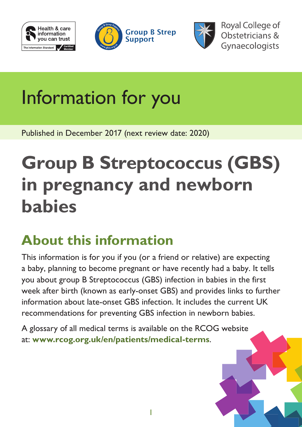





**Royal College of** Obstetricians & Gynaecologists

# Information for you

Published in December 2017 (next review date: 2020)

# **Group B Streptococcus (GBS) in pregnancy and newborn babies**

# **About this information**

This information is for you if you (or a friend or relative) are expecting a baby, planning to become pregnant or have recently had a baby. It tells you about group B Streptococcus (GBS) infection in babies in the first week after birth (known as early-onset GBS) and provides links to further information about late-onset GBS infection. It includes the current UK recommendations for preventing GBS infection in newborn babies.

A glossary of all medical terms is available on the RCOG website at: **[www.rcog.org.uk/en/patients/medical-terms](https://www.rcog.org.uk/en/patients/medical-terms)**.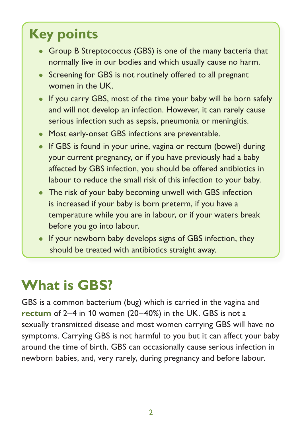### **Key points**

- Group B Streptococcus (GBS) is one of the many bacteria that normally live in our bodies and which usually cause no harm.
- Screening for GBS is not routinely offered to all pregnant women in the UK.
- If you carry GBS, most of the time your baby will be born safely and will not develop an infection. However, it can rarely cause serious infection such as sepsis, pneumonia or meningitis.
- Most early-onset GBS infections are preventable.
- If GBS is found in your urine, vagina or rectum (bowel) during your current pregnancy, or if you have previously had a baby affected by GBS infection, you should be offered antibiotics in labour to reduce the small risk of this infection to your baby.
- The risk of your baby becoming unwell with GBS infection is increased if your baby is born preterm, if you have a temperature while you are in labour, or if your waters break before you go into labour.
- If your newborn baby develops signs of GBS infection, they should be treated with antibiotics straight away.

# **What is GBS?**

GBS is a common bacterium (bug) which is carried in the vagina and **[rectum](https://www.rcog.org.uk/en/patients/medical-terms/#r)** of 2–4 in 10 women (20–40%) in the UK. GBS is not a sexually transmitted disease and most women carrying GBS will have no symptoms. Carrying GBS is not harmful to you but it can affect your baby around the time of birth. GBS can occasionally cause serious infection in newborn babies, and, very rarely, during pregnancy and before labour.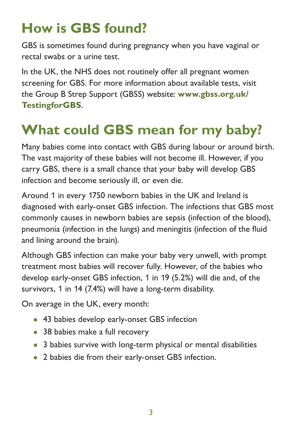### **How is GBS found?**

GBS is sometimes found during pregnancy when you have vaginal or rectal swabs or a urine test.

In the UK, the NHS does not routinely offer all pregnant women screening for GBS. For more information about available tests, visit the Group B Strep Support (GBSS) website: **[www.gbss.org.uk/](http://www.gbss.org.uk/TestingforGBS) [TestingforGBS](http://www.gbss.org.uk/TestingforGBS)**.

### **What could GBS mean for my baby?**

Many babies come into contact with GBS during labour or around birth. The vast majority of these babies will not become ill. However, if you carry GBS, there is a small chance that your baby will develop GBS infection and become seriously ill, or even die.

Around 1 in every 1750 newborn babies in the UK and Ireland is diagnosed with early-onset GBS infection. The infections that GBS most commonly causes in newborn babies are sepsis (infection of the blood), pneumonia (infection in the lungs) and meningitis (infection of the fluid and lining around the brain).

Although GBS infection can make your baby very unwell, with prompt treatment most babies will recover fully. However, of the babies who develop early-onset GBS infection, 1 in 19 (5.2%) will die and, of the survivors, 1 in 14 (7.4%) will have a long-term disability.

On average in the UK, every month:

- 43 babies develop early-onset GBS infection
- 38 babies make a full recovery
- 3 babies survive with long-term physical or mental disabilities
- 2 babies die from their early-onset GBS infection.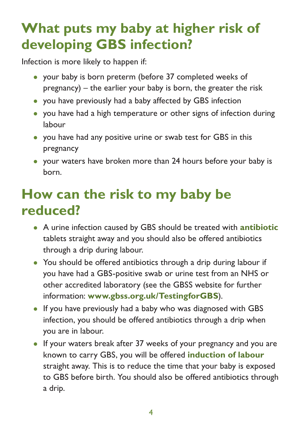#### **What puts my baby at higher risk of developing GBS infection?**

Infection is more likely to happen if:

- your baby is born preterm (before 37 completed weeks of pregnancy) – the earlier your baby is born, the greater the risk
- you have previously had a baby affected by GBS infection
- you have had a high temperature or other signs of infection during labour
- you have had any positive urine or swab test for GBS in this pregnancy
- your waters have broken more than 24 hours before your baby is born.

#### **How can the risk to my baby be reduced?**

- A urine infection caused by GBS should be treated with **[antibiotic](https://www.rcog.org.uk/en/patients/medical-terms/#a)** tablets straight away and you should also be offered antibiotics through a drip during labour.
- You should be offered antibiotics through a drip during labour if you have had a GBS-positive swab or urine test from an NHS or other accredited laboratory (see the GBSS website for further information: **[www.gbss.org.uk/TestingforGBS](http://www.gbss.org.uk/TestingforGBS)**).
- If you have previously had a baby who was diagnosed with GBS infection, you should be offered antibiotics through a drip when you are in labour.
- If your waters break after 37 weeks of your pregnancy and you are known to carry GBS, you will be offered **induction of labour** straight away. This is to reduce the time that your baby is exposed to GBS before birth. You should also be offered antibiotics through a drip.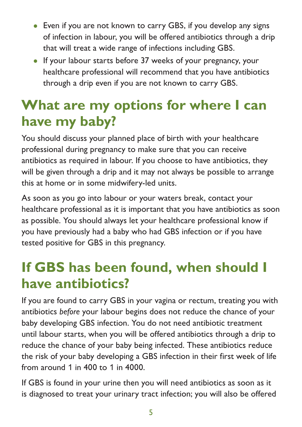- Even if you are not known to carry GBS, if you develop any signs of infection in labour, you will be offered antibiotics through a drip that will treat a wide range of infections including GBS.
- If your labour starts before 37 weeks of your pregnancy, your healthcare professional will recommend that you have antibiotics through a drip even if you are not known to carry GBS.

#### **What are my options for where I can have my baby?**

You should discuss your planned place of birth with your healthcare professional during pregnancy to make sure that you can receive antibiotics as required in labour. If you choose to have antibiotics, they will be given through a drip and it may not always be possible to arrange this at home or in some midwifery-led units.

As soon as you go into labour or your waters break, contact your healthcare professional as it is important that you have antibiotics as soon as possible. You should always let your healthcare professional know if you have previously had a baby who had GBS infection or if you have tested positive for GBS in this pregnancy.

#### **If GBS has been found, when should I have antibiotics?**

If you are found to carry GBS in your vagina or rectum, treating you with antibiotics *before* your labour begins does not reduce the chance of your baby developing GBS infection. You do not need antibiotic treatment until labour starts, when you will be offered antibiotics through a drip to reduce the chance of your baby being infected. These antibiotics reduce the risk of your baby developing a GBS infection in their first week of life from around 1 in 400 to 1 in 4000.

If GBS is found in your urine then you will need antibiotics as soon as it is diagnosed to treat your urinary tract infection; you will also be offered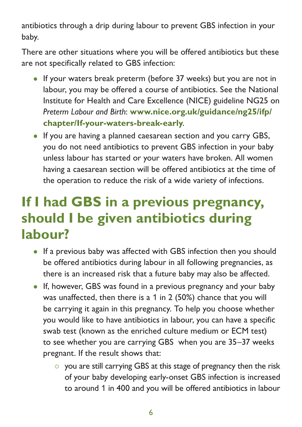antibiotics through a drip during labour to prevent GBS infection in your baby.

There are other situations where you will be offered antibiotics but these are not specifically related to GBS infection:

- If your waters break preterm (before 37 weeks) but you are not in labour, you may be offered a course of antibiotics. See the National Institute for Health and Care Excellence (NICE) guideline NG25 on *Preterm Labour and Birth*: **[www.nice.org.uk/guidance/ng25/ifp/](https://www.nice.org.uk/guidance/ng25/ifp/chapter/If-your-waters-break-early) [chapter/If-your-waters-break-early](https://www.nice.org.uk/guidance/ng25/ifp/chapter/If-your-waters-break-early)**.
- If you are having a planned caesarean section and you carry GBS, you do not need antibiotics to prevent GBS infection in your baby unless labour has started or your waters have broken. All women having a caesarean section will be offered antibiotics at the time of the operation to reduce the risk of a wide variety of infections.

#### **If I had GBS in a previous pregnancy, should I be given antibiotics during labour?**

- If a previous baby was affected with GBS infection then you should be offered antibiotics during labour in all following pregnancies, as there is an increased risk that a future baby may also be affected.
- If, however, GBS was found in a previous pregnancy and your baby was unaffected, then there is a 1 in 2 (50%) chance that you will be carrying it again in this pregnancy. To help you choose whether you would like to have antibiotics in labour, you can have a specific swab test (known as the enriched culture medium or ECM test) to see whether you are carrying GBS when you are 35–37 weeks pregnant. If the result shows that:
	- $\circ$  you are still carrying GBS at this stage of pregnancy then the risk of your baby developing early-onset GBS infection is increased to around 1 in 400 and you will be offered antibiotics in labour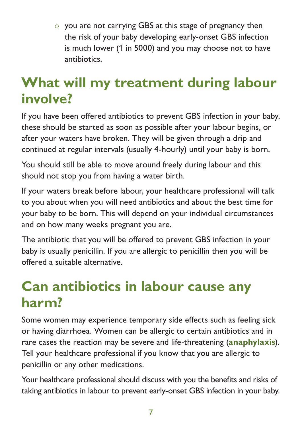$\circ$  you are not carrying GBS at this stage of pregnancy then the risk of your baby developing early-onset GBS infection is much lower (1 in 5000) and you may choose not to have antibiotics.

#### **What will my treatment during labour involve?**

If you have been offered antibiotics to prevent GBS infection in your baby, these should be started as soon as possible after your labour begins, or after your waters have broken. They will be given through a drip and continued at regular intervals (usually 4-hourly) until your baby is born.

You should still be able to move around freely during labour and this should not stop you from having a water birth.

If your waters break before labour, your healthcare professional will talk to you about when you will need antibiotics and about the best time for your baby to be born. This will depend on your individual circumstances and on how many weeks pregnant you are.

The antibiotic that you will be offered to prevent GBS infection in your baby is usually penicillin. If you are allergic to penicillin then you will be offered a suitable alternative.

#### **Can antibiotics in labour cause any harm?**

Some women may experience temporary side effects such as feeling sick or having diarrhoea. Women can be allergic to certain antibiotics and in rare cases the reaction may be severe and life-threatening (**[anaphylaxis](https://www.rcog.org.uk/en/patients/medical-terms/#a)**). Tell your healthcare professional if you know that you are allergic to penicillin or any other medications.

Your healthcare professional should discuss with you the benefits and risks of taking antibiotics in labour to prevent early-onset GBS infection in your baby.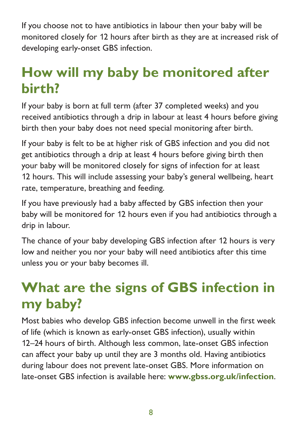If you choose not to have antibiotics in labour then your baby will be monitored closely for 12 hours after birth as they are at increased risk of developing early-onset GBS infection.

#### **How will my baby be monitored after birth?**

If your baby is born at full term (after 37 completed weeks) and you received antibiotics through a drip in labour at least 4 hours before giving birth then your baby does not need special monitoring after birth.

If your baby is felt to be at higher risk of GBS infection and you did not get antibiotics through a drip at least 4 hours before giving birth then your baby will be monitored closely for signs of infection for at least 12 hours. This will include assessing your baby's general wellbeing, heart rate, temperature, breathing and feeding.

If you have previously had a baby affected by GBS infection then your baby will be monitored for 12 hours even if you had antibiotics through a drip in labour.

The chance of your baby developing GBS infection after 12 hours is very low and neither you nor your baby will need antibiotics after this time unless you or your baby becomes ill.

#### **What are the signs of GBS infection in my baby?**

Most babies who develop GBS infection become unwell in the first week of life (which is known as early-onset GBS infection), usually within 12–24 hours of birth. Although less common, late-onset GBS infection can affect your baby up until they are 3 months old. Having antibiotics during labour does not prevent late-onset GBS. More information on late-onset GBS infection is available here: **[www.gbss.org.uk/infection](http://www.gbss.org.uk/infection)**.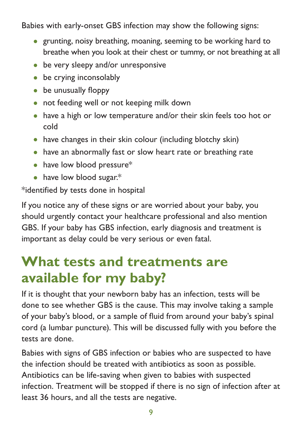Babies with early-onset GBS infection may show the following signs:

- grunting, noisy breathing, moaning, seeming to be working hard to breathe when you look at their chest or tummy, or not breathing at all
- be very sleepy and/or unresponsive
- be crying inconsolably
- be unusually floppy
- not feeding well or not keeping milk down
- have a high or low temperature and/or their skin feels too hot or cold
- have changes in their skin colour (including blotchy skin)
- have an abnormally fast or slow heart rate or breathing rate
- have low blood pressure\*
- have low blood sugar.\*

\*identified by tests done in hospital

If you notice any of these signs or are worried about your baby, you should urgently contact your healthcare professional and also mention GBS. If your baby has GBS infection, early diagnosis and treatment is important as delay could be very serious or even fatal.

#### **What tests and treatments are available for my baby?**

If it is thought that your newborn baby has an infection, tests will be done to see whether GBS is the cause. This may involve taking a sample of your baby's blood, or a sample of fluid from around your baby's spinal cord (a lumbar puncture). This will be discussed fully with you before the tests are done.

Babies with signs of GBS infection or babies who are suspected to have the infection should be treated with antibiotics as soon as possible. Antibiotics can be life-saving when given to babies with suspected infection. Treatment will be stopped if there is no sign of infection after at least 36 hours, and all the tests are negative.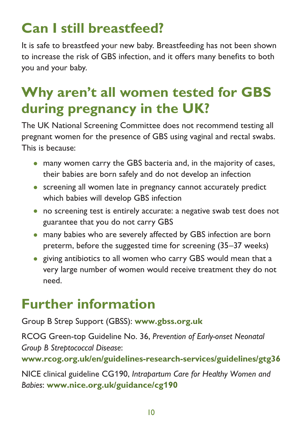# **Can I still breastfeed?**

It is safe to breastfeed your new baby. Breastfeeding has not been shown to increase the risk of GBS infection, and it offers many benefits to both you and your baby.

#### **Why aren't all women tested for GBS during pregnancy in the UK?**

The UK National Screening Committee does not recommend testing all pregnant women for the presence of GBS using vaginal and rectal swabs. This is because:

- many women carry the GBS bacteria and, in the majority of cases, their babies are born safely and do not develop an infection
- screening all women late in pregnancy cannot accurately predict which babies will develop GBS infection
- no screening test is entirely accurate: a negative swab test does not guarantee that you do not carry GBS
- many babies who are severely affected by GBS infection are born preterm, before the suggested time for screening (35–37 weeks)
- giving antibiotics to all women who carry GBS would mean that a very large number of women would receive treatment they do not need.

#### **Further information**

Group B Strep Support (GBSS): **[www.gbss.org.uk](http://www.gbss.org.uk)**

RCOG Green-top Guideline No. 36, *Prevention of Early-onset Neonatal Group B Streptococcal Disease*: **[www.rcog.org.uk/en/guidelines-research-services/guidelines/gtg36](https://www.rcog.org.uk/en/guidelines-research-services/guidelines/gtg36/)**

NICE clinical guideline CG190, *Intrapartum Care for Healthy Women and Babies*: **[www.nice.org.uk/guidance/cg](https://www.nice.org.uk/guidance/cg190)190**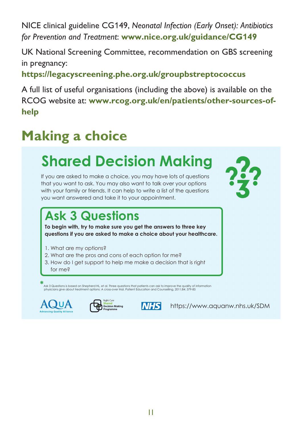NICE clinical guideline CG149, *Neonatal Infection (Early Onset): Antibiotics*  for Prevention and Treatment: [www.nice.org.uk/guidance/CG](https://www.nice.org.uk/guidance/CG149)149 **Example 20149** 

UK National Screening Committee, recommendation on GBS screening **in** pregnancy:  $\frac{1}{\sqrt{2}}$  **o**  $\frac{1}{\sqrt{2}}$  **o**  $\frac{1}{\sqrt{2}}$  **o**  $\frac{1}{\sqrt{2}}$  **o**  $\frac{1}{\sqrt{2}}$  **o**  $\frac{1}{\sqrt{2}}$  **o**  $\frac{1}{\sqrt{2}}$  **o**  $\frac{1}{\sqrt{2}}$  **o**  $\frac{1}{\sqrt{2}}$  **o**  $\frac{1}{\sqrt{2}}$  **o**  $\frac{1}{\sqrt{2}}$  **o**  $\frac{1}{\sqrt{2}}$  **o**  $\$ 

<https://legacyscreening.phe.org.uk/groupbstreptococcus>  $\mathbf{s}$  are a useful tools are a useful tools are a useful tools are a useful tools are a useful tools are a useful tools are a useful tools are a useful tools are a useful tools are a useful tools are a useful tools are

A full list of useful organisations (including the above) is available on the RCOG website at: [www.rcog.org.uk/en/patients/other-sources-of](https://www.rcog.org.uk/en/patients/other-sources-of-help/)**[help](https://www.rcog.org.uk/en/patients/other-sources-of-help/)**  $\boldsymbol{\kappa}$ edsite at:  $\boldsymbol{\kappa}$  $\epsilon$  on the catalyst for shared decision making by using the patient to guide the patient to guide the patient to guide the patient to guide the patient of the patient of  $\alpha$ 

#### **Making a choice** same treatment

#### Shared Decision Making **Care programme** to promote shared and **What you choose to do should depend on what is important to you.**

If you are asked to make a choice, you may have lots of questions that you want to ask. You may also want to talk over your options with your family or friends. It can help to write a list of the questions you want answered and take it to your appointment.

#### What are the **pros** and **cons** of each option for me? How do I get support to healthcare. **"I asked 3 Questions..."**

that is **right for me**?

#### **Ask 3 Questions**

**To begin with, try to make sure you get the answers to three key questions if you are asked to make a choice about your healthcare.**

- 1. What are my options?
- 2. What are the pros and cons of each option for me?
- 3. How do I get support to help me make a decision that is right

for me?

physicians give about treatment options: A cross-over trial. Patient Education and Counselling, 2011;84: 379-85<br>-**\***Ask <sup>3</sup> Questions is based on Shepherd HL, et al. Three questions that patients can ask to improve the quality of information





**NHS** 

**What's it all about?** https://www.aquanw.nhs.uk/SDM